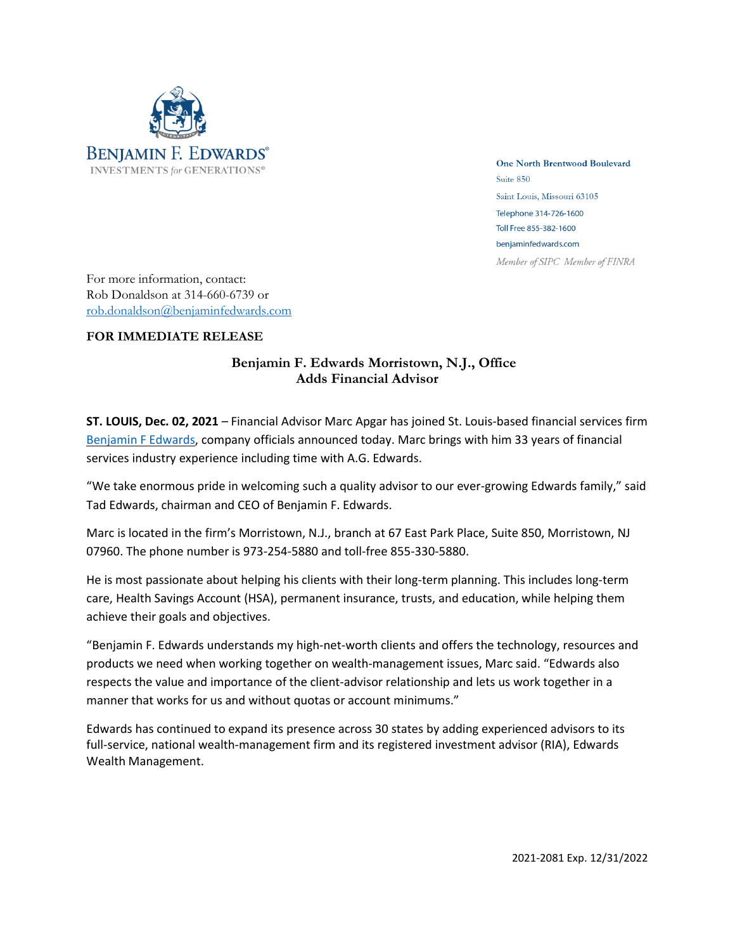

**One North Brentwood Boulevard** Suite 850 Saint Louis, Missouri 63105 Telephone 314-726-1600 Toll Free 855-382-1600 benjaminfedwards.com Member of SIPC Member of FINRA

For more information, contact: Rob Donaldson at 314-660-6739 or [rob.donaldson@benjaminfedwards.com](mailto:rob.donaldson@benjaminfedwards.com)

## **FOR IMMEDIATE RELEASE**

## **Benjamin F. Edwards Morristown, N.J., Office Adds Financial Advisor**

**ST. LOUIS, Dec. 02, 2021** – Financial Advisor Marc Apgar has joined St. Louis-based financial services firm [Benjamin](https://benjaminfedwards.com/) F Edwards, company officials announced today. Marc brings with him 33 years of financial services industry experience including time with A.G. Edwards.

"We take enormous pride in welcoming such a quality advisor to our ever-growing Edwards family," said Tad Edwards, chairman and CEO of Benjamin F. Edwards.

Marc is located in the firm's Morristown, N.J., branch at 67 East Park Place, Suite 850, Morristown, NJ 07960. The phone number is 973-254-5880 and toll-free 855-330-5880.

He is most passionate about helping his clients with their long-term planning. This includes long-term care, Health Savings Account (HSA), permanent insurance, trusts, and education, while helping them achieve their goals and objectives.

"Benjamin F. Edwards understands my high-net-worth clients and offers the technology, resources and products we need when working together on wealth-management issues, Marc said. "Edwards also respects the value and importance of the client-advisor relationship and lets us work together in a manner that works for us and without quotas or account minimums."

Edwards has continued to expand its presence across 30 states by adding experienced advisors to its full-service, national wealth-management firm and its registered investment advisor (RIA), Edwards Wealth Management.